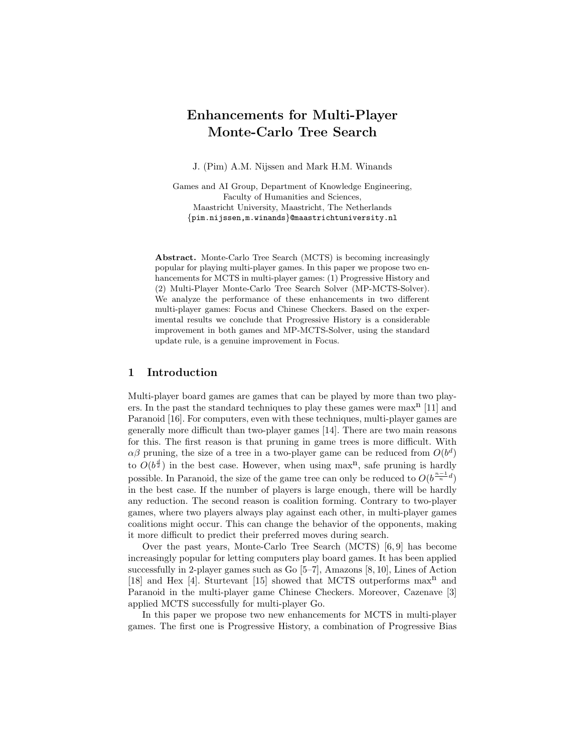# Enhancements for Multi-Player Monte-Carlo Tree Search

J. (Pim) A.M. Nijssen and Mark H.M. Winands

Games and AI Group, Department of Knowledge Engineering, Faculty of Humanities and Sciences, Maastricht University, Maastricht, The Netherlands {pim.nijssen,m.winands}@maastrichtuniversity.nl

Abstract. Monte-Carlo Tree Search (MCTS) is becoming increasingly popular for playing multi-player games. In this paper we propose two enhancements for MCTS in multi-player games: (1) Progressive History and (2) Multi-Player Monte-Carlo Tree Search Solver (MP-MCTS-Solver). We analyze the performance of these enhancements in two different multi-player games: Focus and Chinese Checkers. Based on the experimental results we conclude that Progressive History is a considerable improvement in both games and MP-MCTS-Solver, using the standard update rule, is a genuine improvement in Focus.

## 1 Introduction

Multi-player board games are games that can be played by more than two players. In the past the standard techniques to play these games were  $max<sup>n</sup>$  [11] and Paranoid [16]. For computers, even with these techniques, multi-player games are generally more difficult than two-player games [14]. There are two main reasons for this. The first reason is that pruning in game trees is more difficult. With  $\alpha\beta$  pruning, the size of a tree in a two-player game can be reduced from  $O(b^d)$ to  $O(b^{\frac{d}{2}})$  in the best case. However, when using max<sup>n</sup>, safe pruning is hardly possible. In Paranoid, the size of the game tree can only be reduced to  $O(b^{\frac{n-1}{n}d})$ in the best case. If the number of players is large enough, there will be hardly any reduction. The second reason is coalition forming. Contrary to two-player games, where two players always play against each other, in multi-player games coalitions might occur. This can change the behavior of the opponents, making it more difficult to predict their preferred moves during search.

Over the past years, Monte-Carlo Tree Search (MCTS) [6, 9] has become increasingly popular for letting computers play board games. It has been applied successfully in 2-player games such as Go [5–7], Amazons [8, 10], Lines of Action [18] and Hex [4]. Sturtevant [15] showed that MCTS outperforms  $max<sup>n</sup>$  and Paranoid in the multi-player game Chinese Checkers. Moreover, Cazenave [3] applied MCTS successfully for multi-player Go.

In this paper we propose two new enhancements for MCTS in multi-player games. The first one is Progressive History, a combination of Progressive Bias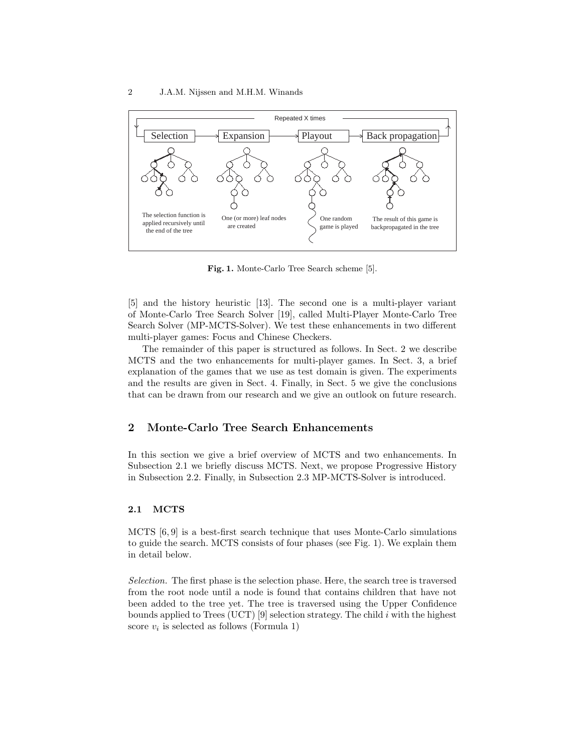

Fig. 1. Monte-Carlo Tree Search scheme [5].

[5] and the history heuristic [13]. The second one is a multi-player variant of Monte-Carlo Tree Search Solver [19], called Multi-Player Monte-Carlo Tree Search Solver (MP-MCTS-Solver). We test these enhancements in two different multi-player games: Focus and Chinese Checkers.

The remainder of this paper is structured as follows. In Sect. 2 we describe MCTS and the two enhancements for multi-player games. In Sect. 3, a brief explanation of the games that we use as test domain is given. The experiments and the results are given in Sect. 4. Finally, in Sect. 5 we give the conclusions that can be drawn from our research and we give an outlook on future research.

# 2 Monte-Carlo Tree Search Enhancements

In this section we give a brief overview of MCTS and two enhancements. In Subsection 2.1 we briefly discuss MCTS. Next, we propose Progressive History in Subsection 2.2. Finally, in Subsection 2.3 MP-MCTS-Solver is introduced.

#### 2.1 MCTS

MCTS [6, 9] is a best-first search technique that uses Monte-Carlo simulations to guide the search. MCTS consists of four phases (see Fig. 1). We explain them in detail below.

Selection. The first phase is the selection phase. Here, the search tree is traversed from the root node until a node is found that contains children that have not been added to the tree yet. The tree is traversed using the Upper Confidence bounds applied to Trees (UCT) [9] selection strategy. The child  $i$  with the highest score  $v_i$  is selected as follows (Formula 1)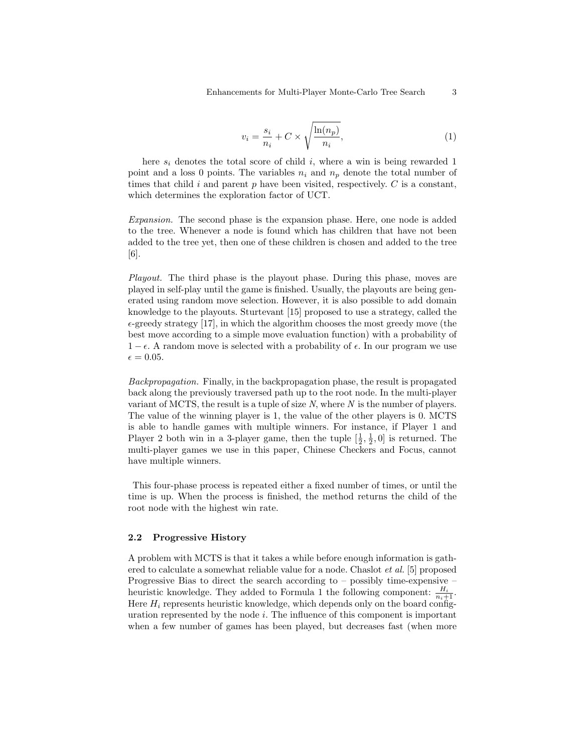$$
v_i = \frac{s_i}{n_i} + C \times \sqrt{\frac{\ln(n_p)}{n_i}},\tag{1}
$$

here  $s_i$  denotes the total score of child  $i$ , where a win is being rewarded 1 point and a loss 0 points. The variables  $n_i$  and  $n_p$  denote the total number of times that child  $i$  and parent  $p$  have been visited, respectively.  $C$  is a constant, which determines the exploration factor of UCT.

Expansion. The second phase is the expansion phase. Here, one node is added to the tree. Whenever a node is found which has children that have not been added to the tree yet, then one of these children is chosen and added to the tree [6].

Playout. The third phase is the playout phase. During this phase, moves are played in self-play until the game is finished. Usually, the playouts are being generated using random move selection. However, it is also possible to add domain knowledge to the playouts. Sturtevant [15] proposed to use a strategy, called the  $\epsilon$ -greedy strategy [17], in which the algorithm chooses the most greedy move (the best move according to a simple move evaluation function) with a probability of  $1 - \epsilon$ . A random move is selected with a probability of  $\epsilon$ . In our program we use  $\epsilon = 0.05$ .

Backpropagation. Finally, in the backpropagation phase, the result is propagated back along the previously traversed path up to the root node. In the multi-player variant of MCTS, the result is a tuple of size  $N$ , where  $N$  is the number of players. The value of the winning player is 1, the value of the other players is 0. MCTS is able to handle games with multiple winners. For instance, if Player 1 and Player 2 both win in a 3-player game, then the tuple  $[\frac{1}{2}, \frac{1}{2}, 0]$  is returned. The multi-player games we use in this paper, Chinese Checkers and Focus, cannot have multiple winners.

This four-phase process is repeated either a fixed number of times, or until the time is up. When the process is finished, the method returns the child of the root node with the highest win rate.

#### 2.2 Progressive History

A problem with MCTS is that it takes a while before enough information is gathered to calculate a somewhat reliable value for a node. Chaslot et al. [5] proposed Progressive Bias to direct the search according to – possibly time-expensive – heuristic knowledge. They added to Formula 1 the following component:  $\frac{H_i}{n_i+1}$ . Here  $H_i$  represents heuristic knowledge, which depends only on the board configuration represented by the node  $i$ . The influence of this component is important when a few number of games has been played, but decreases fast (when more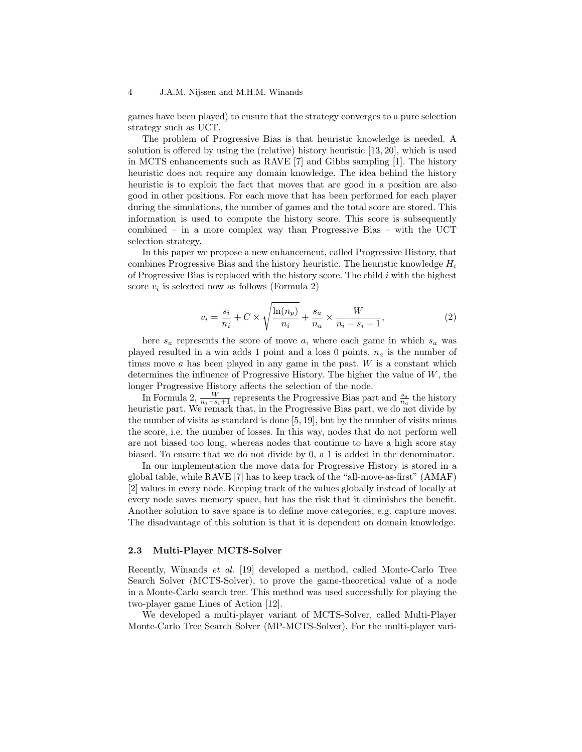games have been played) to ensure that the strategy converges to a pure selection strategy such as UCT.

The problem of Progressive Bias is that heuristic knowledge is needed. A solution is offered by using the (relative) history heuristic [13, 20], which is used in MCTS enhancements such as RAVE [7] and Gibbs sampling [1]. The history heuristic does not require any domain knowledge. The idea behind the history heuristic is to exploit the fact that moves that are good in a position are also good in other positions. For each move that has been performed for each player during the simulations, the number of games and the total score are stored. This information is used to compute the history score. This score is subsequently combined – in a more complex way than Progressive Bias – with the UCT selection strategy.

In this paper we propose a new enhancement, called Progressive History, that combines Progressive Bias and the history heuristic. The heuristic knowledge  $H_i$ of Progressive Bias is replaced with the history score. The child i with the highest score  $v_i$  is selected now as follows (Formula 2)

$$
v_i = \frac{s_i}{n_i} + C \times \sqrt{\frac{\ln(n_p)}{n_i}} + \frac{s_a}{n_a} \times \frac{W}{n_i - s_i + 1},\tag{2}
$$

here  $s_a$  represents the score of move a, where each game in which  $s_a$  was played resulted in a win adds 1 point and a loss 0 points.  $n_a$  is the number of times move  $a$  has been played in any game in the past.  $W$  is a constant which determines the influence of Progressive History. The higher the value of  $W$ , the longer Progressive History affects the selection of the node.

In Formula 2,  $\frac{W}{n_i - s_i + 1}$  represents the Progressive Bias part and  $\frac{s_a}{n_a}$  the history heuristic part. We remark that, in the Progressive Bias part, we do not divide by the number of visits as standard is done  $[5, 19]$ , but by the number of visits minus the score, i.e. the number of losses. In this way, nodes that do not perform well are not biased too long, whereas nodes that continue to have a high score stay biased. To ensure that we do not divide by 0, a 1 is added in the denominator.

In our implementation the move data for Progressive History is stored in a global table, while RAVE [7] has to keep track of the "all-move-as-first" (AMAF) [2] values in every node. Keeping track of the values globally instead of locally at every node saves memory space, but has the risk that it diminishes the benefit. Another solution to save space is to define move categories, e.g. capture moves. The disadvantage of this solution is that it is dependent on domain knowledge.

#### 2.3 Multi-Player MCTS-Solver

Recently, Winands et al. [19] developed a method, called Monte-Carlo Tree Search Solver (MCTS-Solver), to prove the game-theoretical value of a node in a Monte-Carlo search tree. This method was used successfully for playing the two-player game Lines of Action [12].

We developed a multi-player variant of MCTS-Solver, called Multi-Player Monte-Carlo Tree Search Solver (MP-MCTS-Solver). For the multi-player vari-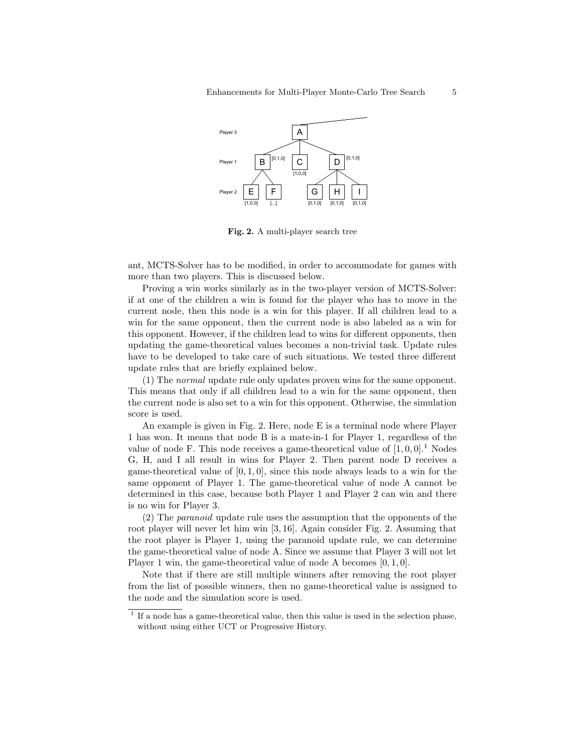

Fig. 2. A multi-player search tree

ant, MCTS-Solver has to be modified, in order to accommodate for games with more than two players. This is discussed below.

Proving a win works similarly as in the two-player version of MCTS-Solver: if at one of the children a win is found for the player who has to move in the current node, then this node is a win for this player. If all children lead to a win for the same opponent, then the current node is also labeled as a win for this opponent. However, if the children lead to wins for different opponents, then updating the game-theoretical values becomes a non-trivial task. Update rules have to be developed to take care of such situations. We tested three different update rules that are briefly explained below.

(1) The normal update rule only updates proven wins for the same opponent. This means that only if all children lead to a win for the same opponent, then the current node is also set to a win for this opponent. Otherwise, the simulation score is used.

An example is given in Fig. 2. Here, node E is a terminal node where Player 1 has won. It means that node B is a mate-in-1 for Player 1, regardless of the value of node F. This node receives a game-theoretical value of  $[1, 0, 0]$ .<sup>1</sup> Nodes G, H, and I all result in wins for Player 2. Then parent node D receives a game-theoretical value of  $[0, 1, 0]$ , since this node always leads to a win for the same opponent of Player 1. The game-theoretical value of node A cannot be determined in this case, because both Player 1 and Player 2 can win and there is no win for Player 3.

(2) The paranoid update rule uses the assumption that the opponents of the root player will never let him win [3, 16]. Again consider Fig. 2. Assuming that the root player is Player 1, using the paranoid update rule, we can determine the game-theoretical value of node A. Since we assume that Player 3 will not let Player 1 win, the game-theoretical value of node A becomes  $[0, 1, 0]$ .

Note that if there are still multiple winners after removing the root player from the list of possible winners, then no game-theoretical value is assigned to the node and the simulation score is used.

<sup>&</sup>lt;sup>1</sup> If a node has a game-theoretical value, then this value is used in the selection phase, without using either UCT or Progressive History.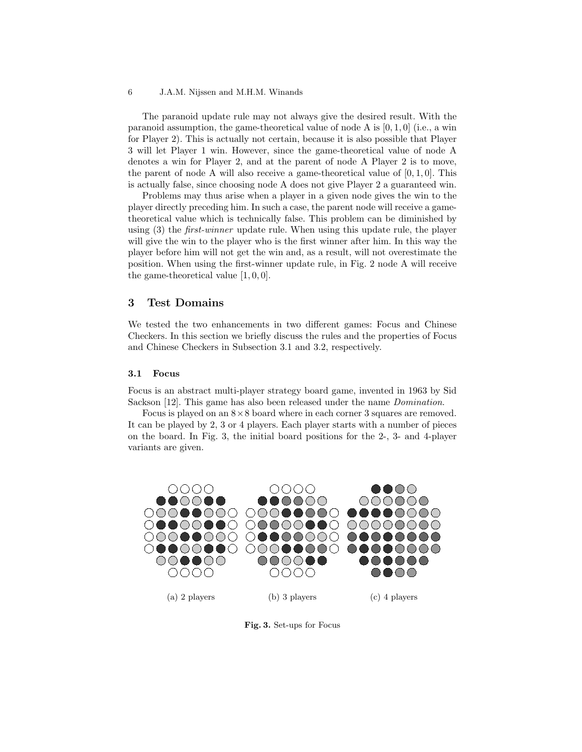#### 6 J.A.M. Nijssen and M.H.M. Winands

The paranoid update rule may not always give the desired result. With the paranoid assumption, the game-theoretical value of node A is  $[0, 1, 0]$  (i.e., a win for Player 2). This is actually not certain, because it is also possible that Player 3 will let Player 1 win. However, since the game-theoretical value of node A denotes a win for Player 2, and at the parent of node A Player 2 is to move, the parent of node A will also receive a game-theoretical value of  $[0, 1, 0]$ . This is actually false, since choosing node A does not give Player 2 a guaranteed win.

Problems may thus arise when a player in a given node gives the win to the player directly preceding him. In such a case, the parent node will receive a gametheoretical value which is technically false. This problem can be diminished by using  $(3)$  the *first-winner* update rule. When using this update rule, the player will give the win to the player who is the first winner after him. In this way the player before him will not get the win and, as a result, will not overestimate the position. When using the first-winner update rule, in Fig. 2 node A will receive the game-theoretical value [1, 0, 0].

## 3 Test Domains

We tested the two enhancements in two different games: Focus and Chinese Checkers. In this section we briefly discuss the rules and the properties of Focus and Chinese Checkers in Subsection 3.1 and 3.2, respectively.

#### 3.1 Focus

Focus is an abstract multi-player strategy board game, invented in 1963 by Sid Sackson [12]. This game has also been released under the name Domination.

Focus is played on an  $8\times 8$  board where in each corner 3 squares are removed. It can be played by 2, 3 or 4 players. Each player starts with a number of pieces on the board. In Fig. 3, the initial board positions for the 2-, 3- and 4-player variants are given.



Fig. 3. Set-ups for Focus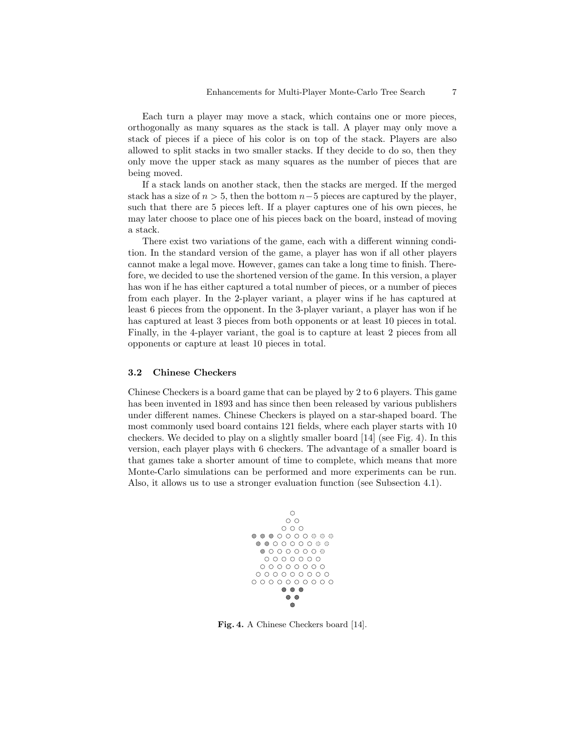Each turn a player may move a stack, which contains one or more pieces, orthogonally as many squares as the stack is tall. A player may only move a stack of pieces if a piece of his color is on top of the stack. Players are also allowed to split stacks in two smaller stacks. If they decide to do so, then they only move the upper stack as many squares as the number of pieces that are being moved.

If a stack lands on another stack, then the stacks are merged. If the merged stack has a size of  $n > 5$ , then the bottom  $n-5$  pieces are captured by the player, such that there are 5 pieces left. If a player captures one of his own pieces, he may later choose to place one of his pieces back on the board, instead of moving a stack.

There exist two variations of the game, each with a different winning condition. In the standard version of the game, a player has won if all other players cannot make a legal move. However, games can take a long time to finish. Therefore, we decided to use the shortened version of the game. In this version, a player has won if he has either captured a total number of pieces, or a number of pieces from each player. In the 2-player variant, a player wins if he has captured at least 6 pieces from the opponent. In the 3-player variant, a player has won if he has captured at least 3 pieces from both opponents or at least 10 pieces in total. Finally, in the 4-player variant, the goal is to capture at least 2 pieces from all opponents or capture at least 10 pieces in total.

#### 3.2 Chinese Checkers

Chinese Checkers is a board game that can be played by 2 to 6 players. This game has been invented in 1893 and has since then been released by various publishers under different names. Chinese Checkers is played on a star-shaped board. The most commonly used board contains 121 fields, where each player starts with 10 checkers. We decided to play on a slightly smaller board [14] (see Fig. 4). In this version, each player plays with 6 checkers. The advantage of a smaller board is that games take a shorter amount of time to complete, which means that more Monte-Carlo simulations can be performed and more experiments can be run. Also, it allows us to use a stronger evaluation function (see Subsection 4.1).



Fig. 4. A Chinese Checkers board [14].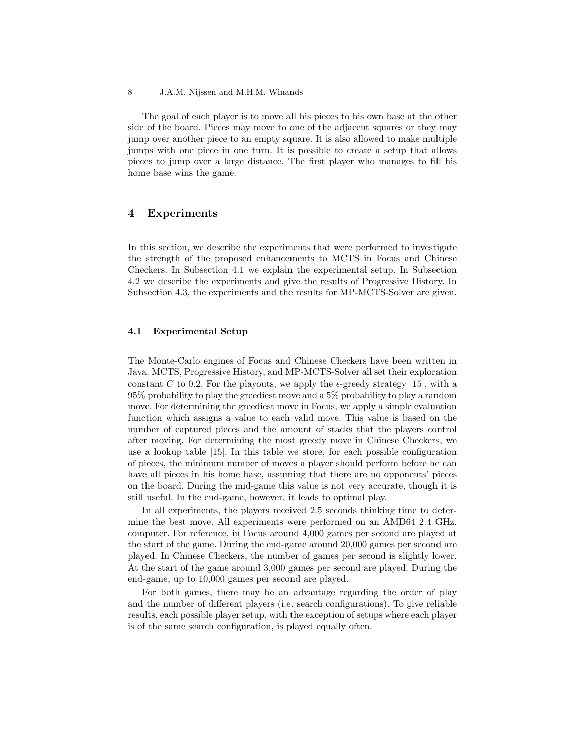The goal of each player is to move all his pieces to his own base at the other side of the board. Pieces may move to one of the adjacent squares or they may jump over another piece to an empty square. It is also allowed to make multiple jumps with one piece in one turn. It is possible to create a setup that allows pieces to jump over a large distance. The first player who manages to fill his home base wins the game.

# 4 Experiments

In this section, we describe the experiments that were performed to investigate the strength of the proposed enhancements to MCTS in Focus and Chinese Checkers. In Subsection 4.1 we explain the experimental setup. In Subsection 4.2 we describe the experiments and give the results of Progressive History. In Subsection 4.3, the experiments and the results for MP-MCTS-Solver are given.

#### 4.1 Experimental Setup

The Monte-Carlo engines of Focus and Chinese Checkers have been written in Java. MCTS, Progressive History, and MP-MCTS-Solver all set their exploration constant C to 0.2. For the playouts, we apply the  $\epsilon$ -greedy strategy [15], with a 95% probability to play the greediest move and a 5% probability to play a random move. For determining the greediest move in Focus, we apply a simple evaluation function which assigns a value to each valid move. This value is based on the number of captured pieces and the amount of stacks that the players control after moving. For determining the most greedy move in Chinese Checkers, we use a lookup table [15]. In this table we store, for each possible configuration of pieces, the minimum number of moves a player should perform before he can have all pieces in his home base, assuming that there are no opponents' pieces on the board. During the mid-game this value is not very accurate, though it is still useful. In the end-game, however, it leads to optimal play.

In all experiments, the players received 2.5 seconds thinking time to determine the best move. All experiments were performed on an AMD64 2.4 GHz. computer. For reference, in Focus around 4,000 games per second are played at the start of the game. During the end-game around 20,000 games per second are played. In Chinese Checkers, the number of games per second is slightly lower. At the start of the game around 3,000 games per second are played. During the end-game, up to 10,000 games per second are played.

For both games, there may be an advantage regarding the order of play and the number of different players (i.e. search configurations). To give reliable results, each possible player setup, with the exception of setups where each player is of the same search configuration, is played equally often.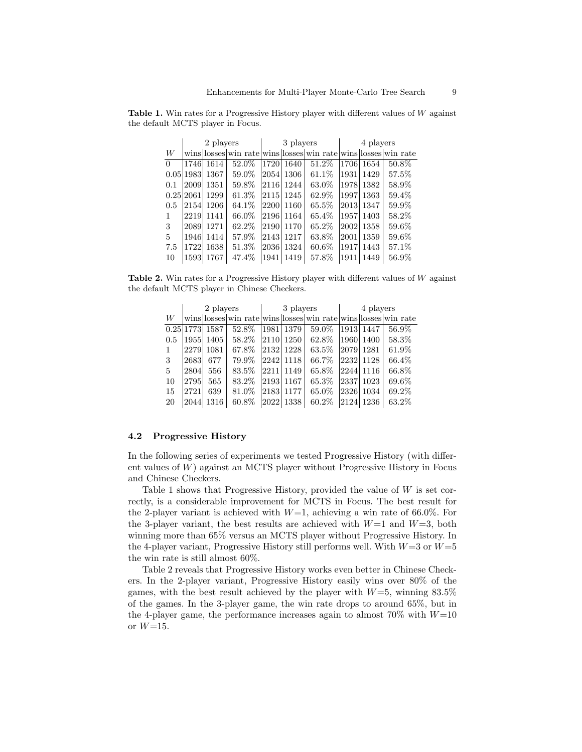Table 1. Win rates for a Progressive History player with different values of W against the default MCTS player in Focus.

|          |           | 2 players |          |      | 3 players  |                                                                | 4 players |      |       |  |
|----------|-----------|-----------|----------|------|------------|----------------------------------------------------------------|-----------|------|-------|--|
| W        |           |           |          |      |            | wins losses win rate wins losses win rate wins losses win rate |           |      |       |  |
| $\Omega$ | 1746      | 1614      | 52.0%    |      | 1720 1640  | 51.2%                                                          | 17061     | 1654 | 50.8% |  |
|          | 0.05 1983 | 1367      | 59.0%    |      | 2054  1306 | $61.1\%$                                                       | 1931      | 1429 | 57.5% |  |
| 0.1      | 2009      | 1351      | 59.8%    |      | 2116 1244  | 63.0%                                                          | 1978      | 1382 | 58.9% |  |
|          | 0.25 2061 | 1299      | $61.3\%$ |      | 2115  1245 | 62.9%                                                          | 1997      | 1363 | 59.4% |  |
| 0.5      | 2154      | 1206      | 64.1\%   | 2200 | 1160       | 65.5%                                                          | 2013      | 1347 | 59.9% |  |
| 1        | 2219      | 1141      | 66.0%    |      | 2196 1164  | 65.4%                                                          | 1957      | 1403 | 58.2% |  |
| 3        | 2089      | 1271      | 62.2\%   |      | 2190 1170  | $65.2\%$                                                       | 20021     | 1358 | 59.6% |  |
| 5        | 1946      | 1414      | 57.9%    |      | 2143  1217 | 63.8%                                                          | 2001      | 1359 | 59.6% |  |
| 7.5      | 1722      | 1638      | 51.3%    |      | 2036  1324 | $60.6\%$                                                       | 1917      | 1443 | 57.1% |  |
| 10       | 1593      | 1767      | 47.4%    | 1941 | 1419       | 57.8%                                                          | 1911      | 1449 | 56.9% |  |

Table 2. Win rates for a Progressive History player with different values of  $W$  against the default MCTS player in Chinese Checkers.

|     | 2 players |                |       |       |           | 3 players                                                      | 4 players |           |       |  |
|-----|-----------|----------------|-------|-------|-----------|----------------------------------------------------------------|-----------|-----------|-------|--|
| W   |           |                |       |       |           | wins losses win rate wins losses win rate wins losses win rate |           |           |       |  |
|     |           | 0.25 1773 1587 | 52.8% | 1981  | 1379      | 59.0%                                                          |           | 1913 1447 | 56.9% |  |
| 0.5 |           | 1955  1405     | 58.2% |       | 2110 1250 | 62.8%                                                          |           | 1960 1400 | 58.3% |  |
|     | 2279      | 1081           | 67.8% |       | 2132 1228 | 63.5%                                                          |           | 2079 1281 | 61.9% |  |
| 3   | 2683      | 677            | 79.9% |       | 2242 1118 | 66.7%                                                          |           | 2232 1128 | 66.4% |  |
| 5   | 2804      | 556            | 83.5% | 22111 | 1149      | 65.8%                                                          |           | 2244 1116 | 66.8% |  |
| 10  | 2795      | 565            | 83.2% |       | 2193 1167 | 65.3%                                                          | 2337      | 1023      | 69.6% |  |
| 15  | 2721      | 639            | 81.0% |       | 2183 1177 | 65.0%                                                          | 2326      | 1034      | 69.2% |  |
| 20  | 2044      | 1316           | 60.8% | 2022  | 1338      | $60.2\%$                                                       | 2124      | 1236      | 63.2% |  |

#### 4.2 Progressive History

In the following series of experiments we tested Progressive History (with different values of  $W$ ) against an MCTS player without Progressive History in Focus and Chinese Checkers.

Table 1 shows that Progressive History, provided the value of  $W$  is set correctly, is a considerable improvement for MCTS in Focus. The best result for the 2-player variant is achieved with  $W=1$ , achieving a win rate of 66.0%. For the 3-player variant, the best results are achieved with  $W=1$  and  $W=3$ , both winning more than 65% versus an MCTS player without Progressive History. In the 4-player variant, Progressive History still performs well. With  $W=3$  or  $W=5$ the win rate is still almost 60%.

Table 2 reveals that Progressive History works even better in Chinese Checkers. In the 2-player variant, Progressive History easily wins over 80% of the games, with the best result achieved by the player with  $W=5$ , winning 83.5% of the games. In the 3-player game, the win rate drops to around 65%, but in the 4-player game, the performance increases again to almost  $70\%$  with  $W=10$ or  $W=15$ .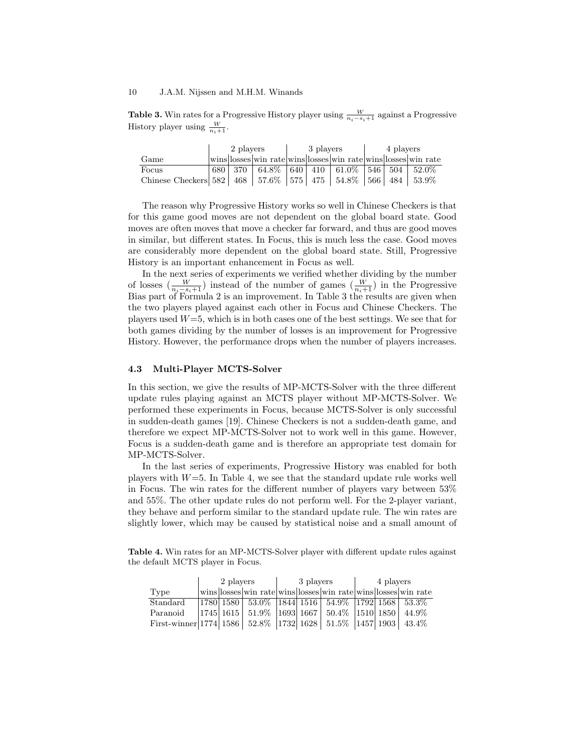**Table 3.** Win rates for a Progressive History player using  $\frac{W}{n_i-s_i+1}$  against a Progressive History player using  $\frac{W}{n+1}$ .

|                                                                            | 2 players |                                                                | 3 players |                                                    | 4 players |  |  |
|----------------------------------------------------------------------------|-----------|----------------------------------------------------------------|-----------|----------------------------------------------------|-----------|--|--|
| Game                                                                       |           | wins  osses win rate wins  osses win rate wins  osses win rate |           |                                                    |           |  |  |
| Focus                                                                      | 680 370   |                                                                |           | $64.8\%$   640   410   61.0\%   546   504   52.0\% |           |  |  |
| Chinese Checkers 582   468   57.6%   575   475   54.8%   566   484   53.9% |           |                                                                |           |                                                    |           |  |  |

The reason why Progressive History works so well in Chinese Checkers is that for this game good moves are not dependent on the global board state. Good moves are often moves that move a checker far forward, and thus are good moves in similar, but different states. In Focus, this is much less the case. Good moves are considerably more dependent on the global board state. Still, Progressive History is an important enhancement in Focus as well.

In the next series of experiments we verified whether dividing by the number of losses  $\left(\frac{W}{n_i-s_i+1}\right)$  instead of the number of games  $\left(\frac{W}{n_i+1}\right)$  in the Progressive Bias part of Formula 2 is an improvement. In Table 3 the results are given when the two players played against each other in Focus and Chinese Checkers. The players used  $W=5$ , which is in both cases one of the best settings. We see that for both games dividing by the number of losses is an improvement for Progressive History. However, the performance drops when the number of players increases.

#### 4.3 Multi-Player MCTS-Solver

In this section, we give the results of MP-MCTS-Solver with the three different update rules playing against an MCTS player without MP-MCTS-Solver. We performed these experiments in Focus, because MCTS-Solver is only successful in sudden-death games [19]. Chinese Checkers is not a sudden-death game, and therefore we expect MP-MCTS-Solver not to work well in this game. However, Focus is a sudden-death game and is therefore an appropriate test domain for MP-MCTS-Solver.

In the last series of experiments, Progressive History was enabled for both players with  $W=5$ . In Table 4, we see that the standard update rule works well in Focus. The win rates for the different number of players vary between 53% and 55%. The other update rules do not perform well. For the 2-player variant, they behave and perform similar to the standard update rule. The win rates are slightly lower, which may be caused by statistical noise and a small amount of

Table 4. Win rates for an MP-MCTS-Solver player with different update rules against the default MCTS player in Focus.

|                                                                              | 2 players |  | 3 players |                                                                                                            | 4 players |  |  |
|------------------------------------------------------------------------------|-----------|--|-----------|------------------------------------------------------------------------------------------------------------|-----------|--|--|
| Type                                                                         |           |  |           | wins losses win rate wins losses win rate wins losses win rate                                             |           |  |  |
| Standard                                                                     |           |  |           | 1780  1580   53.0%   1844   1516   54.9%   1792   1568   53.3%                                             |           |  |  |
| Paranoid                                                                     |           |  |           | $\vert 1745 \vert 1615 \vert 51.9\% \vert 1693 \vert 1667 \vert 50.4\% \vert 1510 \vert 1850 \vert 44.9\%$ |           |  |  |
| First-winner 1774   1586   52.8%   1732   1628   51.5%   1457   1903   43.4% |           |  |           |                                                                                                            |           |  |  |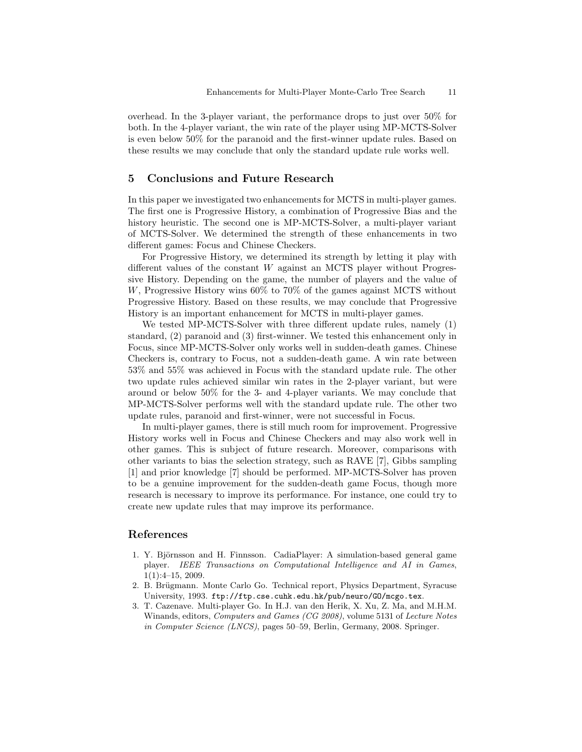overhead. In the 3-player variant, the performance drops to just over 50% for both. In the 4-player variant, the win rate of the player using MP-MCTS-Solver is even below 50% for the paranoid and the first-winner update rules. Based on these results we may conclude that only the standard update rule works well.

## 5 Conclusions and Future Research

In this paper we investigated two enhancements for MCTS in multi-player games. The first one is Progressive History, a combination of Progressive Bias and the history heuristic. The second one is MP-MCTS-Solver, a multi-player variant of MCTS-Solver. We determined the strength of these enhancements in two different games: Focus and Chinese Checkers.

For Progressive History, we determined its strength by letting it play with different values of the constant  $W$  against an MCTS player without Progressive History. Depending on the game, the number of players and the value of W, Progressive History wins 60% to 70% of the games against MCTS without Progressive History. Based on these results, we may conclude that Progressive History is an important enhancement for MCTS in multi-player games.

We tested MP-MCTS-Solver with three different update rules, namely (1) standard, (2) paranoid and (3) first-winner. We tested this enhancement only in Focus, since MP-MCTS-Solver only works well in sudden-death games. Chinese Checkers is, contrary to Focus, not a sudden-death game. A win rate between 53% and 55% was achieved in Focus with the standard update rule. The other two update rules achieved similar win rates in the 2-player variant, but were around or below 50% for the 3- and 4-player variants. We may conclude that MP-MCTS-Solver performs well with the standard update rule. The other two update rules, paranoid and first-winner, were not successful in Focus.

In multi-player games, there is still much room for improvement. Progressive History works well in Focus and Chinese Checkers and may also work well in other games. This is subject of future research. Moreover, comparisons with other variants to bias the selection strategy, such as RAVE [7], Gibbs sampling [1] and prior knowledge [7] should be performed. MP-MCTS-Solver has proven to be a genuine improvement for the sudden-death game Focus, though more research is necessary to improve its performance. For instance, one could try to create new update rules that may improve its performance.

## References

- 1. Y. Björnsson and H. Finnsson. CadiaPlayer: A simulation-based general game player. IEEE Transactions on Computational Intelligence and AI in Games, 1(1):4–15, 2009.
- 2. B. Brügmann. Monte Carlo Go. Technical report, Physics Department, Syracuse University, 1993. ftp://ftp.cse.cuhk.edu.hk/pub/neuro/GO/mcgo.tex.
- 3. T. Cazenave. Multi-player Go. In H.J. van den Herik, X. Xu, Z. Ma, and M.H.M. Winands, editors, Computers and Games (CG 2008), volume 5131 of Lecture Notes in Computer Science (LNCS), pages 50–59, Berlin, Germany, 2008. Springer.